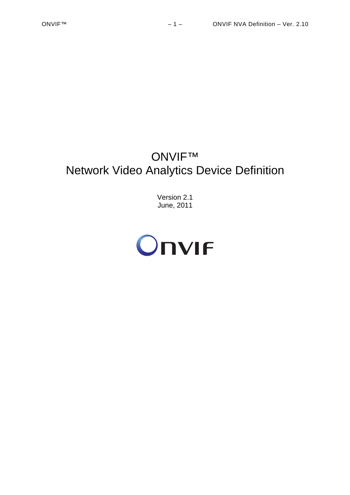# ONVIF™ Network Video Analytics Device Definition

Version 2.1 June, 2011

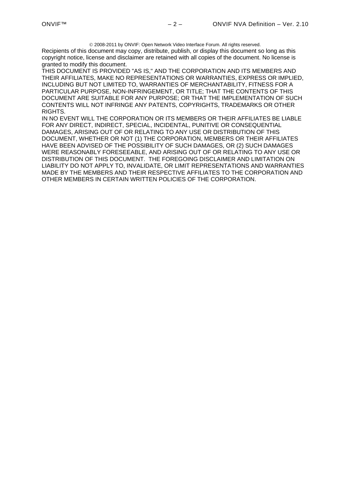2008-2011 by ONVIF: Open Network Video Interface Forum. All rights reserved.

Recipients of this document may copy, distribute, publish, or display this document so long as this copyright notice, license and disclaimer are retained with all copies of the document. No license is granted to modify this document.

THIS DOCUMENT IS PROVIDED "AS IS," AND THE CORPORATION AND ITS MEMBERS AND THEIR AFFILIATES, MAKE NO REPRESENTATIONS OR WARRANTIES, EXPRESS OR IMPLIED, INCLUDING BUT NOT LIMITED TO, WARRANTIES OF MERCHANTABILITY, FITNESS FOR A PARTICULAR PURPOSE, NON-INFRINGEMENT, OR TITLE; THAT THE CONTENTS OF THIS DOCUMENT ARE SUITABLE FOR ANY PURPOSE; OR THAT THE IMPLEMENTATION OF SUCH CONTENTS WILL NOT INFRINGE ANY PATENTS, COPYRIGHTS, TRADEMARKS OR OTHER RIGHTS.

IN NO EVENT WILL THE CORPORATION OR ITS MEMBERS OR THEIR AFFILIATES BE LIABLE FOR ANY DIRECT, INDIRECT, SPECIAL, INCIDENTAL, PUNITIVE OR CONSEQUENTIAL DAMAGES, ARISING OUT OF OR RELATING TO ANY USE OR DISTRIBUTION OF THIS DOCUMENT, WHETHER OR NOT (1) THE CORPORATION, MEMBERS OR THEIR AFFILIATES HAVE BEEN ADVISED OF THE POSSIBILITY OF SUCH DAMAGES, OR (2) SUCH DAMAGES WERE REASONABLY FORESEEABLE, AND ARISING OUT OF OR RELATING TO ANY USE OR DISTRIBUTION OF THIS DOCUMENT. THE FOREGOING DISCLAIMER AND LIMITATION ON LIABILITY DO NOT APPLY TO, INVALIDATE, OR LIMIT REPRESENTATIONS AND WARRANTIES MADE BY THE MEMBERS AND THEIR RESPECTIVE AFFILIATES TO THE CORPORATION AND OTHER MEMBERS IN CERTAIN WRITTEN POLICIES OF THE CORPORATION.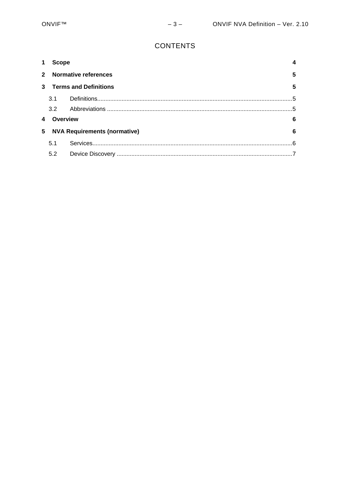# **CONTENTS**

|                |                                     | <b>Scope</b>                |          |  |
|----------------|-------------------------------------|-----------------------------|----------|--|
| $2^{\circ}$    |                                     | <b>Normative references</b> |          |  |
| $\mathbf{3}$   | <b>Terms and Definitions</b>        |                             |          |  |
|                | 3.1                                 |                             |          |  |
|                | 3.2                                 |                             |          |  |
|                | Overview<br>6                       |                             |          |  |
| 5 <sup>1</sup> | <b>NVA Requirements (normative)</b> |                             |          |  |
|                | 5.1                                 |                             | <b>6</b> |  |
|                | 5.2                                 |                             |          |  |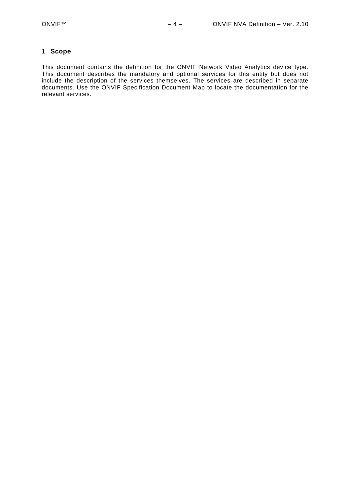#### <span id="page-3-0"></span>**1 Scope**

This document contains the definition for the ONVIF Network Video Analytics device type. This document describes the mandatory and optional services for this entity but does not include the description of the services themselves. The services are described in separate documents. Use the ONVIF Specification Document Map to locate the documentation for the relevant services.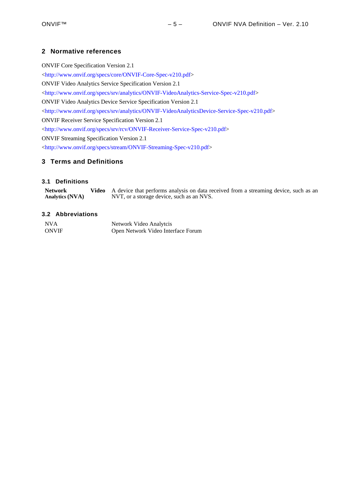### <span id="page-4-0"></span>**2 Normative references**

ONVIF Core Specification Version 2.1 <<http://www.onvif.org/specs/core/ONVIF-Core-Spec-v210.pdf>> ONVIF Video Analytics Service Specification Version 2.1 <[http://www.onvif.org/specs/srv/analytics/ONVIF-VideoAnalytics-Service-Spec-v210.pdf>](http://www.onvif.org/specs/srv/analytics/ONVIF-VideoAnalytics-Service-Spec-v210.pdf) ONVIF Video Analytics Device Service Specification Version 2.1 <<http://www.onvif.org/specs/srv/analytics/ONVIF-VideoAnalyticsDevice-Service-Spec-v210.pdf>> ONVIF Receiver Service Specification Version 2.1 <[http://www.onvif.org/specs/srv/rcv/ONVIF-Receiver-Service-Spec-v210.pdf>](http://www.onvif.org/specs/srv/rcv/ONVIF-Receiver-Service-Spec-v210.pdf) ONVIF Streaming Specification Version 2.1 <<http://www.onvif.org/specs/stream/ONVIF-Streaming-Spec-v210.pdf>>

## <span id="page-4-1"></span>**3 Terms and Definitions**

#### <span id="page-4-2"></span>**3.1 Definitions**

| <b>Network</b>  | Video A device that performs analysis on data received from a streaming device, such as an |
|-----------------|--------------------------------------------------------------------------------------------|
| Analytics (NVA) | NVT, or a storage device, such as an NVS.                                                  |

#### <span id="page-4-3"></span>**3.2 Abbreviations**

| <b>NVA</b>   | Network Video Analytcis            |
|--------------|------------------------------------|
| <b>ONVIF</b> | Open Network Video Interface Forum |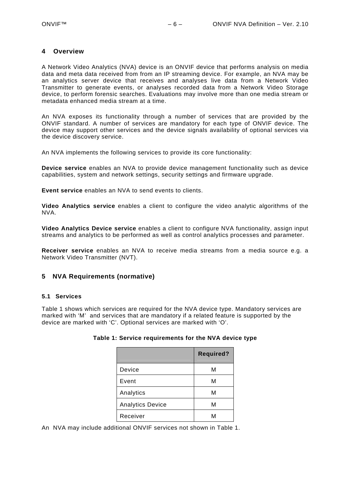#### <span id="page-5-0"></span>**4 Overview**

A Network Video Analytics (NVA) device is an ONVIF device that performs analysis on media data and meta data received from from an IP streaming device. For example, an NVA may be an analytics server device that receives and analyses live data from a Network Video Transmitter to generate events, or analyses recorded data from a Network Video Storage device, to perform forensic searches. Evaluations may involve more than one media stream or metadata enhanced media stream at a time.

An NVA exposes its functionality through a number of services that are provided by the ONVIF standard. A number of services are mandatory for each type of ONVIF device. The device may support other services and the device signals availability of optional services via the device discovery service.

An NVA implements the following services to provide its core functionality:

**Device service** enables an NVA to provide device management functionality such as device capabilities, system and network settings, security settings and firmware upgrade.

**Event service** enables an NVA to send events to clients.

**Video Analytics service** enables a client to configure the video analytic algorithms of the NVA.

**Video Analytics Device service** enables a client to configure NVA functionality, assign input streams and analytics to be performed as well as control analytics processes and parameter.

**Receiver service** enables an NVA to receive media streams from a media source e.g. a Network Video Transmitter (NVT).

#### <span id="page-5-1"></span>**5 NVA Requirements (normative)**

#### <span id="page-5-2"></span>**5.1 Services**

<span id="page-5-3"></span>[Table 1](#page-5-3) shows which services are required for the NVA device type. Mandatory services are marked with 'M' and services that are mandatory if a related feature is supported by the device are marked with 'C'. Optional services are marked with 'O'.

|                         | <b>Required?</b> |
|-------------------------|------------------|
| Device                  | М                |
| Event                   | М                |
| Analytics               | М                |
| <b>Analytics Device</b> | М                |
| Receiver                | M                |

#### **Table 1: Service requirements for the NVA device type**

An NVA may include additional ONVIF services not shown in [Table 1](#page-5-3).